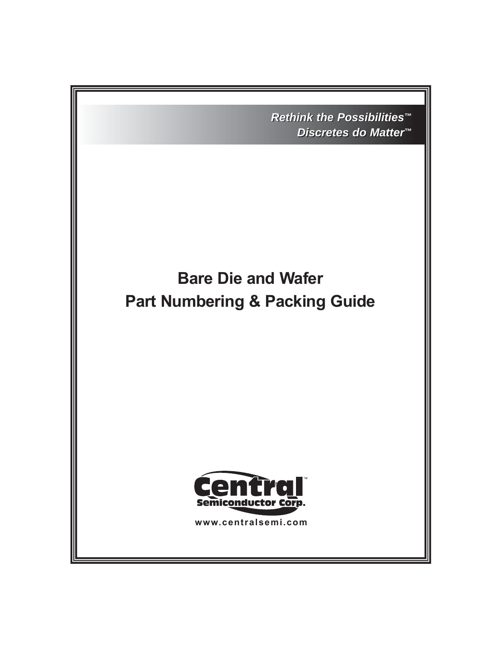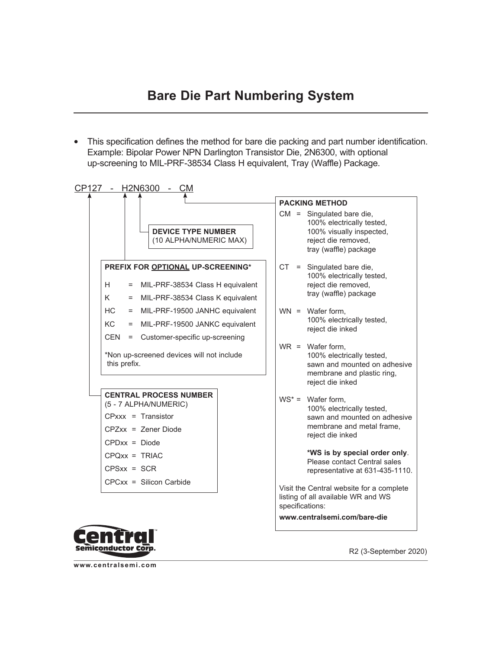• This specification defines the method for bare die packing and part number identification. Example: Bipolar Power NPN Darlington Transistor Die, 2N6300, with optional up-screening to MIL-PRF-38534 Class H equivalent, Tray (Waffle) Package.





R2 (3-September 2020)

**www.centralsemi.com**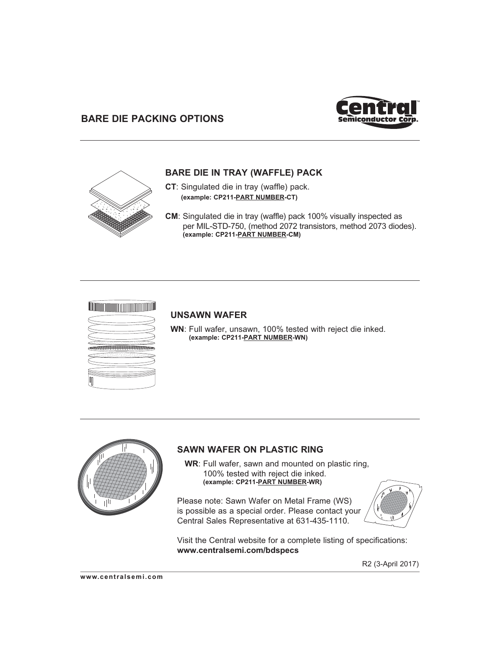# **BARE DIE PACKING OPTIONS**





## **BARE DIE IN TRAY (WAFFLE) PACK**

- **CT**: Singulated die in tray (waffle) pack. **(example: CP211-PART NUMBER-CT)**
- **CM**: Singulated die in tray (waffle) pack 100% visually inspected as per MIL-STD-750, (method 2072 transistors, method 2073 diodes). **(example: CP211-PART NUMBER-CM)**

### <u> Tamman manala</u>



#### **UNSAWN WAFER**

**WN**: Full wafer, unsawn, 100% tested with reject die inked. **(example: CP211-PART NUMBER-WN)**



### **SAWN WAFER ON PLASTIC RING**

 **WR**: Full wafer, sawn and mounted on plastic ring, 100% tested with reject die inked. **(example: CP211-PART NUMBER-WR)**

Please note: Sawn Wafer on Metal Frame (WS) is possible as a special order. Please contact your Central Sales Representative at 631-435-1110.



Visit the Central website for a complete listing of specifications: **www.centralsemi.com/bdspecs**

R2 (3-April 2017)